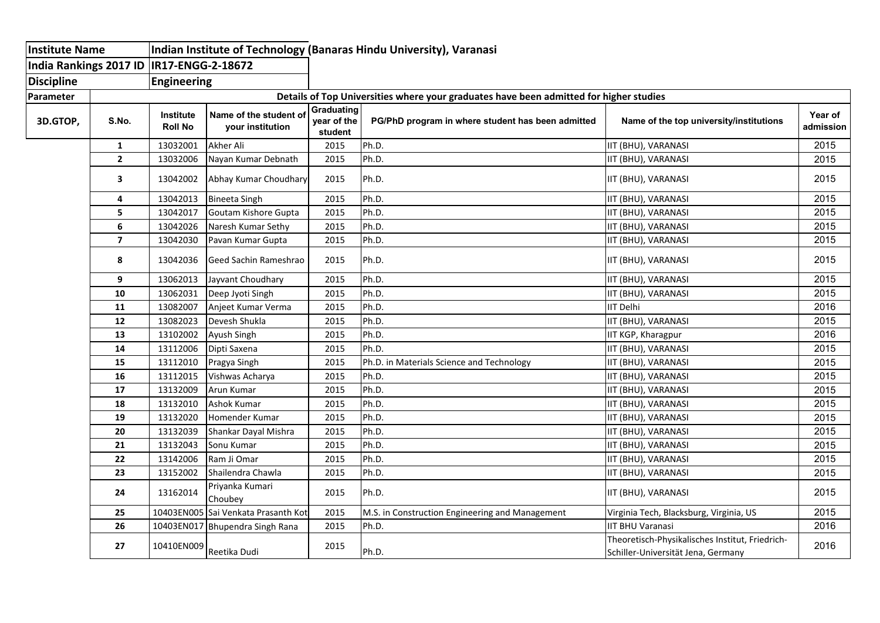| Institute Name         |                         | Indian Institute of Technology (Banaras Hindu University), Varanasi |                                                                                        |                                      |                                                   |                                                                                       |                      |  |  |  |  |  |
|------------------------|-------------------------|---------------------------------------------------------------------|----------------------------------------------------------------------------------------|--------------------------------------|---------------------------------------------------|---------------------------------------------------------------------------------------|----------------------|--|--|--|--|--|
| India Rankings 2017 ID |                         | IR17-ENGG-2-18672                                                   |                                                                                        |                                      |                                                   |                                                                                       |                      |  |  |  |  |  |
| <b>Discipline</b>      |                         | <b>Engineering</b>                                                  |                                                                                        |                                      |                                                   |                                                                                       |                      |  |  |  |  |  |
| Parameter              |                         |                                                                     | Details of Top Universities where your graduates have been admitted for higher studies |                                      |                                                   |                                                                                       |                      |  |  |  |  |  |
| 3D.GTOP,               | S.No.                   | Institute<br><b>Roll No</b>                                         | Name of the student of<br>your institution                                             | Graduating<br>year of the<br>student | PG/PhD program in where student has been admitted | Name of the top university/institutions                                               | Year of<br>admission |  |  |  |  |  |
|                        | 1                       | 13032001                                                            | Akher Ali                                                                              | 2015                                 | Ph.D.                                             | IIT (BHU), VARANASI                                                                   | 2015                 |  |  |  |  |  |
|                        | $\overline{2}$          | 13032006                                                            | Nayan Kumar Debnath                                                                    | 2015                                 | Ph.D.                                             | IIT (BHU), VARANASI                                                                   | 2015                 |  |  |  |  |  |
|                        | $\overline{\mathbf{3}}$ | 13042002                                                            | Abhay Kumar Choudhary                                                                  | 2015                                 | Ph.D.                                             | IIT (BHU), VARANASI                                                                   | 2015                 |  |  |  |  |  |
|                        | 4                       | 13042013                                                            | <b>Bineeta Singh</b>                                                                   | 2015                                 | Ph.D.                                             | IIT (BHU), VARANASI                                                                   | 2015                 |  |  |  |  |  |
|                        | 5                       | 13042017                                                            | Goutam Kishore Gupta                                                                   | 2015                                 | Ph.D.                                             | IIT (BHU), VARANASI                                                                   | 2015                 |  |  |  |  |  |
|                        | 6                       | 13042026                                                            | Naresh Kumar Sethy                                                                     | 2015                                 | Ph.D.                                             | IIT (BHU), VARANASI                                                                   | 2015                 |  |  |  |  |  |
|                        | $\overline{\mathbf{z}}$ | 13042030                                                            | Pavan Kumar Gupta                                                                      | 2015                                 | Ph.D.                                             | IIT (BHU), VARANASI                                                                   | 2015                 |  |  |  |  |  |
|                        | 8                       | 13042036                                                            | Geed Sachin Rameshrao                                                                  | 2015                                 | Ph.D.                                             | IIT (BHU), VARANASI                                                                   | 2015                 |  |  |  |  |  |
|                        | 9                       | 13062013                                                            | Jayvant Choudhary                                                                      | 2015                                 | Ph.D.                                             | IIT (BHU), VARANASI                                                                   | 2015                 |  |  |  |  |  |
|                        | 10                      | 13062031                                                            | Deep Jyoti Singh                                                                       | 2015                                 | Ph.D.                                             | IIT (BHU), VARANASI                                                                   | 2015                 |  |  |  |  |  |
|                        | 11                      | 13082007                                                            | Anjeet Kumar Verma                                                                     | 2015                                 | Ph.D.                                             | IIT Delhi                                                                             | 2016                 |  |  |  |  |  |
|                        | 12                      | 13082023                                                            | Devesh Shukla                                                                          | 2015                                 | Ph.D.                                             | IIT (BHU), VARANASI                                                                   | 2015                 |  |  |  |  |  |
|                        | 13                      | 13102002                                                            | Ayush Singh                                                                            | 2015                                 | Ph.D.                                             | IIT KGP, Kharagpur                                                                    | 2016                 |  |  |  |  |  |
|                        | 14                      | 13112006                                                            | Dipti Saxena                                                                           | 2015                                 | Ph.D.                                             | IIT (BHU), VARANASI                                                                   | 2015                 |  |  |  |  |  |
|                        | 15                      | 13112010                                                            | Pragya Singh                                                                           | 2015                                 | Ph.D. in Materials Science and Technology         | IIT (BHU), VARANASI                                                                   | 2015                 |  |  |  |  |  |
|                        | 16                      | 13112015                                                            | Vishwas Acharya                                                                        | 2015                                 | Ph.D.                                             | IIT (BHU), VARANASI                                                                   | 2015                 |  |  |  |  |  |
|                        | 17                      | 13132009                                                            | Arun Kumar                                                                             | 2015                                 | Ph.D.                                             | IIT (BHU), VARANASI                                                                   | 2015                 |  |  |  |  |  |
|                        | 18                      | 13132010                                                            | Ashok Kumar                                                                            | 2015                                 | Ph.D.                                             | IIT (BHU), VARANASI                                                                   | 2015                 |  |  |  |  |  |
|                        | 19                      | 13132020                                                            | Homender Kumar                                                                         | 2015                                 | Ph.D.                                             | IIT (BHU), VARANASI                                                                   | 2015                 |  |  |  |  |  |
|                        | 20                      | 13132039                                                            | Shankar Dayal Mishra                                                                   | 2015                                 | Ph.D.                                             | IIT (BHU), VARANASI                                                                   | 2015                 |  |  |  |  |  |
|                        | 21                      | 13132043                                                            | Sonu Kumar                                                                             | 2015                                 | Ph.D.                                             | IIT (BHU), VARANASI                                                                   | 2015                 |  |  |  |  |  |
|                        | 22                      | 13142006                                                            | Ram Ji Omar                                                                            | 2015                                 | Ph.D.                                             | IIT (BHU), VARANASI                                                                   | 2015                 |  |  |  |  |  |
|                        | 23                      | 13152002                                                            | Shailendra Chawla                                                                      | 2015                                 | Ph.D.                                             | IIT (BHU), VARANASI                                                                   | 2015                 |  |  |  |  |  |
|                        | 24                      | 13162014                                                            | Priyanka Kumari<br>Choubey                                                             | 2015                                 | Ph.D.                                             | IIT (BHU), VARANASI                                                                   | 2015                 |  |  |  |  |  |
|                        | 25                      |                                                                     | 10403EN005 Sai Venkata Prasanth Kot                                                    | 2015                                 | M.S. in Construction Engineering and Management   | Virginia Tech, Blacksburg, Virginia, US                                               | 2015                 |  |  |  |  |  |
|                        | 26                      |                                                                     | 10403EN017 Bhupendra Singh Rana                                                        | 2015                                 | Ph.D.                                             | <b>IIT BHU Varanasi</b>                                                               | 2016                 |  |  |  |  |  |
|                        | 27                      | 10410EN009                                                          | Reetika Dudi                                                                           | 2015                                 | Ph.D.                                             | Theoretisch-Physikalisches Institut, Friedrich-<br>Schiller-Universität Jena, Germany | 2016                 |  |  |  |  |  |